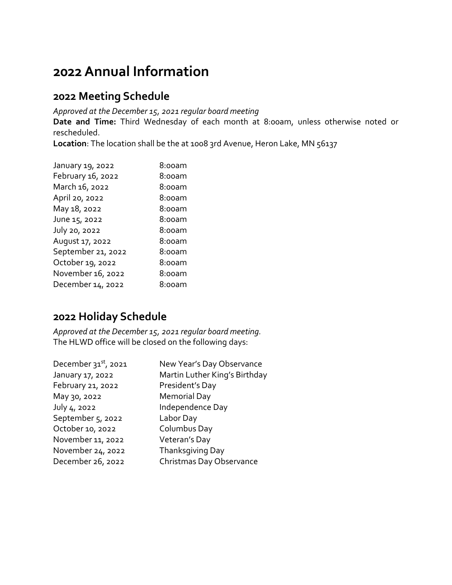## **2022 Annual Information**

#### **2022 Meeting Schedule**

*Approved at the December 15, 2021 regular board meeting*

**Date and Time:** Third Wednesday of each month at 8:00am, unless otherwise noted or rescheduled.

Location: The location shall be the at 1008 3rd Avenue, Heron Lake, MN 56137

| January 19, 2022   | 8:00am |
|--------------------|--------|
| February 16, 2022  | 8:00am |
| March 16, 2022     | 8:00am |
| April 20, 2022     | 8:00am |
| May 18, 2022       | 8:00am |
| June 15, 2022      | 8:00am |
| July 20, 2022      | 8:00am |
| August 17, 2022    | 8:00am |
| September 21, 2022 | 8:00am |
| October 19, 2022   | 8:00am |
| November 16, 2022  | 8:00am |
| December 14, 2022  | 8:00am |
|                    |        |

#### **2022 Holiday Schedule**

*Approved at the December 15, 2021 regular board meeting.* The HLWD office will be closed on the following days:

| December $31st$ , 2021 | New Year's Day Observance     |
|------------------------|-------------------------------|
| January 17, 2022       | Martin Luther King's Birthday |
| February 21, 2022      | President's Day               |
| May 30, 2022           | <b>Memorial Day</b>           |
| July 4, 2022           | Independence Day              |
| September 5, 2022      | Labor Day                     |
| October 10, 2022       | Columbus Day                  |
| November 11, 2022      | Veteran's Day                 |
| November 24, 2022      | Thanksgiving Day              |
| December 26, 2022      | Christmas Day Observance      |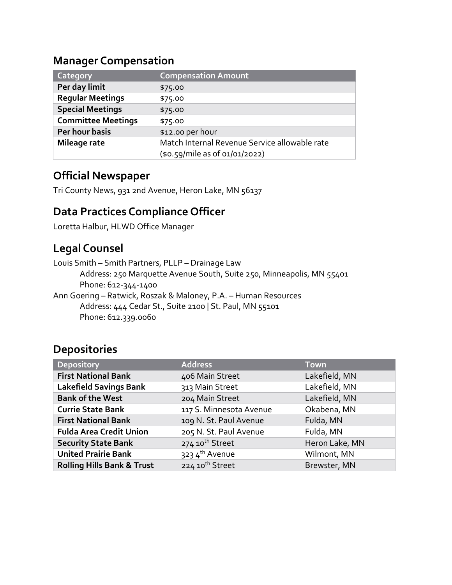#### **Manager Compensation**

| Category                  | <b>Compensation Amount</b>                    |
|---------------------------|-----------------------------------------------|
| Per day limit             | \$75.00                                       |
| <b>Regular Meetings</b>   | \$75.00                                       |
| <b>Special Meetings</b>   | \$75.00                                       |
| <b>Committee Meetings</b> | \$75.00                                       |
| Per hour basis            | \$12.00 per hour                              |
| Mileage rate              | Match Internal Revenue Service allowable rate |
|                           | (\$0.59/mile as of 01/01/2022)                |

#### **Official Newspaper**

Tri County News, 931 2nd Avenue, Heron Lake, MN 56137

#### **Data Practices Compliance Officer**

Loretta Halbur, HLWD Office Manager

## **Legal Counsel**

Louis Smith – Smith Partners, PLLP – Drainage Law Address: 250 Marquette Avenue South, Suite 250, Minneapolis, MN 55401 Phone: 612-344-1400 Ann Goering – Ratwick, Roszak & Maloney, P.A. – Human Resources Address: 444 Cedar St., Suite 2100 | St. Paul, MN 55101

Phone: 612.339.0060

#### **Depositories**

| <b>Depository</b>                     | <b>Address</b>              | <b>Town</b>    |
|---------------------------------------|-----------------------------|----------------|
| <b>First National Bank</b>            | 406 Main Street             | Lakefield, MN  |
| <b>Lakefield Savings Bank</b>         | 313 Main Street             | Lakefield, MN  |
| <b>Bank of the West</b>               | 204 Main Street             | Lakefield, MN  |
| <b>Currie State Bank</b>              | 117 S. Minnesota Avenue     | Okabena, MN    |
| <b>First National Bank</b>            | 109 N. St. Paul Avenue      | Fulda, MN      |
| <b>Fulda Area Credit Union</b>        | 205 N. St. Paul Avenue      | Fulda, MN      |
| <b>Security State Bank</b>            | 274 10 <sup>th</sup> Street | Heron Lake, MN |
| <b>United Prairie Bank</b>            | 3234th Avenue               | Wilmont, MN    |
| <b>Rolling Hills Bank &amp; Trust</b> | 224 10 <sup>th</sup> Street | Brewster, MN   |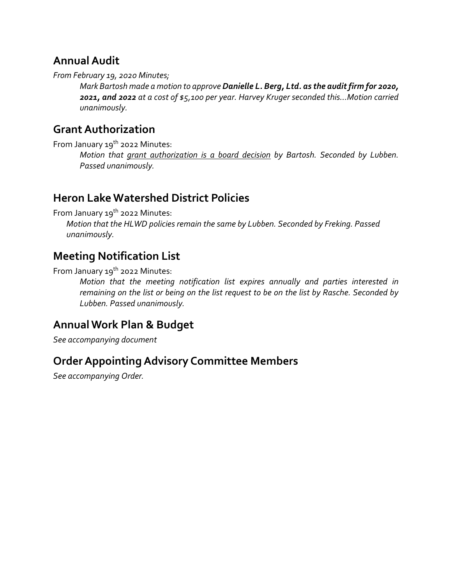## **Annual Audit**

*From February 19, 2020 Minutes;*

*Mark Bartosh made a motion to approve Danielle L. Berg, Ltd. as the audit firm for 2020, 2021, and 2022 at a cost of \$5,100 per year. Harvey Kruger seconded this…Motion carried unanimously.*

## **Grant Authorization**

From January 19<sup>th</sup> 2022 Minutes:

*Motion that grant authorization is a board decision by Bartosh. Seconded by Lubben. Passed unanimously.* 

## **Heron Lake Watershed District Policies**

From January 19<sup>th</sup> 2022 Minutes:

*Motion that the HLWD policies remain the same by Lubben. Seconded by Freking. Passed unanimously.*

## **Meeting Notification List**

From January 19<sup>th</sup> 2022 Minutes:

*Motion that the meeting notification list expires annually and parties interested in remaining on the list or being on the list request to be on the list by Rasche. Seconded by Lubben. Passed unanimously.* 

## **Annual Work Plan & Budget**

*See accompanying document*

## **Order Appointing Advisory Committee Members**

*See accompanying Order.*